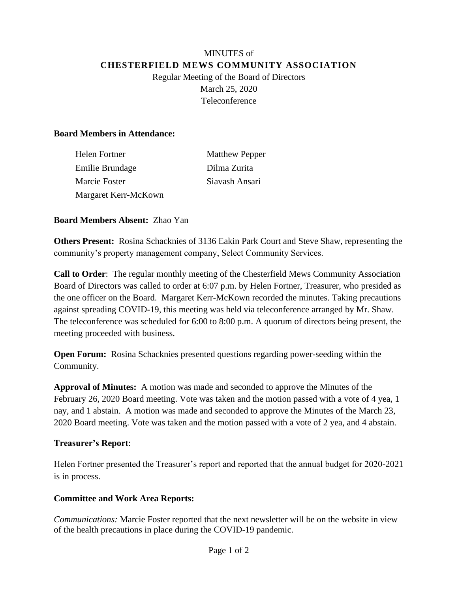# MINUTES of **CHESTERFIELD MEWS COMMUNITY ASSOCIATION** Regular Meeting of the Board of Directors March 25, 2020 Teleconference

## **Board Members in Attendance:**

| Helen Fortner        | <b>Matthew Pepper</b> |
|----------------------|-----------------------|
| Emilie Brundage      | Dilma Zurita          |
| Marcie Foster        | Siavash Ansari        |
| Margaret Kerr-McKown |                       |

### **Board Members Absent:** Zhao Yan

**Others Present:** Rosina Schacknies of 3136 Eakin Park Court and Steve Shaw, representing the community's property management company, Select Community Services.

**Call to Order**: The regular monthly meeting of the Chesterfield Mews Community Association Board of Directors was called to order at 6:07 p.m. by Helen Fortner, Treasurer, who presided as the one officer on the Board. Margaret Kerr-McKown recorded the minutes. Taking precautions against spreading COVID-19, this meeting was held via teleconference arranged by Mr. Shaw. The teleconference was scheduled for 6:00 to 8:00 p.m. A quorum of directors being present, the meeting proceeded with business.

**Open Forum:** Rosina Schacknies presented questions regarding power-seeding within the Community.

**Approval of Minutes:** A motion was made and seconded to approve the Minutes of the February 26, 2020 Board meeting. Vote was taken and the motion passed with a vote of 4 yea, 1 nay, and 1 abstain. A motion was made and seconded to approve the Minutes of the March 23, 2020 Board meeting. Vote was taken and the motion passed with a vote of 2 yea, and 4 abstain.

#### **Treasurer's Report**:

Helen Fortner presented the Treasurer's report and reported that the annual budget for 2020-2021 is in process.

## **Committee and Work Area Reports:**

*Communications:* Marcie Foster reported that the next newsletter will be on the website in view of the health precautions in place during the COVID-19 pandemic.